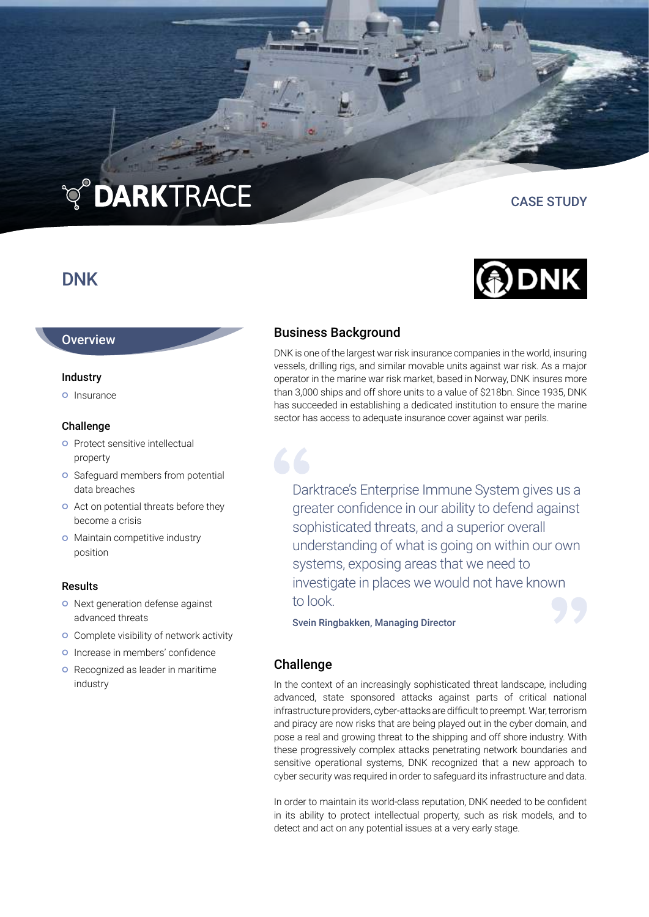# **TO DARKTRACE**

## DNK

## **Overview**

## Industry

**o** Insurance

## Challenge

- **O** Protect sensitive intellectual property
- **O** Safeguard members from potential data breaches
- **o** Act on potential threats before they become a crisis
- **o** Maintain competitive industry position

## Results

- o Next generation defense against advanced threats
- **o** Complete visibility of network activity
- **o** Increase in members' confidence
- **o** Recognized as leader in maritime industry

## Business Background

DNK is one of the largest war risk insurance companies in the world, insuring vessels, drilling rigs, and similar movable units against war risk. As a major operator in the marine war risk market, based in Norway, DNK insures more than 3,000 ships and off shore units to a value of \$218bn. Since 1935, DNK has succeeded in establishing a dedicated institution to ensure the marine sector has access to adequate insurance cover against war perils.

Darktrace's Enterprise Immune System gives us a greater confidence in our ability to defend against sophisticated threats, and a superior overall understanding of what is going on within our own systems, exposing areas that we need to investigate in places we would not have known to look.

Svein Ringbakken, Managing Director

## Challenge

In the context of an increasingly sophisticated threat landscape, including advanced, state sponsored attacks against parts of critical national infrastructure providers, cyber-attacks are difficult to preempt. War, terrorism and piracy are now risks that are being played out in the cyber domain, and pose a real and growing threat to the shipping and off shore industry. With these progressively complex attacks penetrating network boundaries and sensitive operational systems, DNK recognized that a new approach to cyber security was required in order to safeguard its infrastructure and data.

In order to maintain its world-class reputation, DNK needed to be confident in its ability to protect intellectual property, such as risk models, and to detect and act on any potential issues at a very early stage.



CASE STUDY